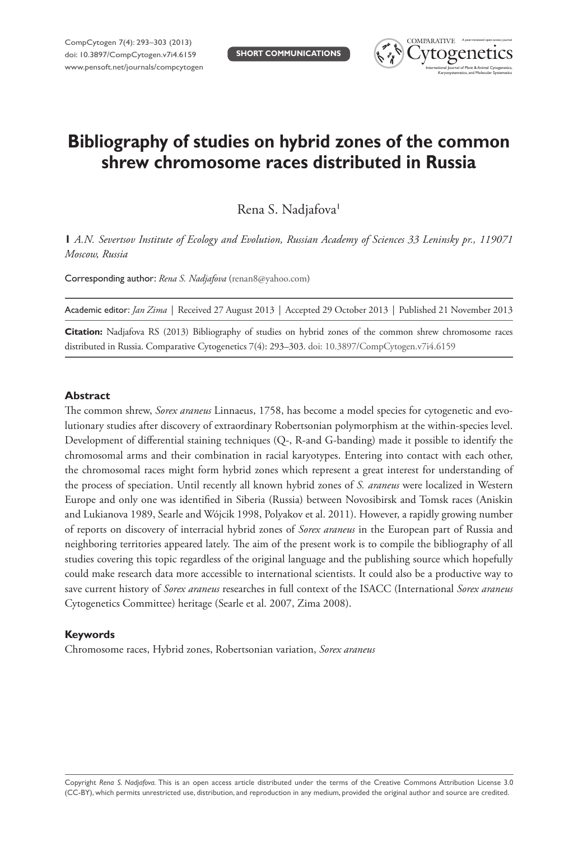

# **Bibliography of studies on hybrid zones of the common shrew chromosome races distributed in Russia**

Rena S. Nadjafova<sup>1</sup>

**1** *A.N. Severtsov Institute of Ecology and Evolution, Russian Academy of Sciences 33 Leninsky pr., 119071 Moscow, Russia*

Corresponding author: *Rena S. Nadjafova* ([renan8@yahoo.com\)](mailto:renan8@yahoo.com)

|  |  |  | Academic editor: Jan Zima   Received 27 August 2013   Accepted 29 October 2013   Published 21 November 2013 |
|--|--|--|-------------------------------------------------------------------------------------------------------------|
|--|--|--|-------------------------------------------------------------------------------------------------------------|

**Citation:** Nadjafova RS (2013) Bibliography of studies on hybrid zones of the common shrew chromosome races distributed in Russia. Comparative Cytogenetics 7(4): 293–303. [doi: 10.3897/CompCytogen.v7i4.6159](http://dx.doi.org/10.3897/CompCytogen.v7i4.6159)

#### **Abstract**

The common shrew, *Sorex araneus* Linnaeus, 1758, has become a model species for cytogenetic and evolutionary studies after discovery of extraordinary Robertsonian polymorphism at the within-species level. Development of differential staining techniques (Q-, R-and G-banding) made it possible to identify the chromosomal arms and their combination in racial karyotypes. Entering into contact with each other, the chromosomal races might form hybrid zones which represent a great interest for understanding of the process of speciation. Until recently all known hybrid zones of *S. araneus* were localized in Western Europe and only one was identified in Siberia (Russia) between Novosibirsk and Tomsk races (Aniskin and Lukianova 1989, Searle and Wójcik 1998, Polyakov et al. 2011). However, a rapidly growing number of reports on discovery of interracial hybrid zones of *Sorex araneus* in the European part of Russia and neighboring territories appeared lately. The aim of the present work is to compile the bibliography of all studies covering this topic regardless of the original language and the publishing source which hopefully could make research data more accessible to international scientists. It could also be a productive way to save current history of *Sorex araneus* researches in full context of the ISACC (International *Sorex araneus*  Cytogenetics Committee) heritage (Searle et al. 2007, Zima 2008).

### **Keywords**

Chromosome races, Hybrid zones, Robertsonian variation, *Sorex araneus*

Copyright *Rena S. Nadjafova.* This is an open access article distributed under the terms of the [Creative Commons Attribution License 3.0](http://creativecommons.org/licenses/by/3.0/)  [\(CC-BY\),](http://creativecommons.org/licenses/by/3.0/) which permits unrestricted use, distribution, and reproduction in any medium, provided the original author and source are credited.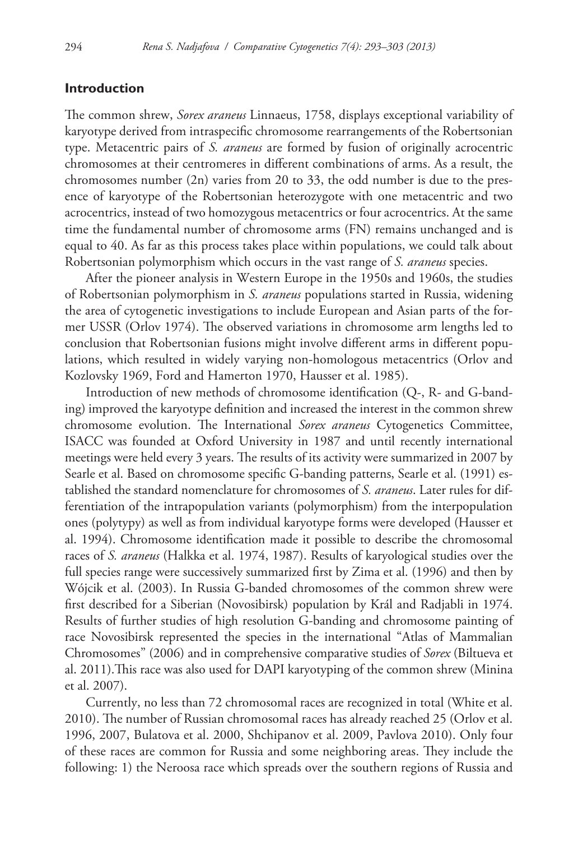## **Introduction**

The common shrew, *Sorex araneus* Linnaeus, 1758, displays exceptional variability of karyotype derived from intraspecific chromosome rearrangements of the Robertsonian type. Metacentric pairs of *S. araneus* are formed by fusion of originally acrocentric chromosomes at their centromeres in different combinations of arms. As a result, the chromosomes number (2n) varies from 20 to 33, the odd number is due to the presence of karyotype of the Robertsonian heterozygote with one metacentric and two acrocentrics, instead of two homozygous metacentrics or four acrocentrics. At the same time the fundamental number of chromosome arms (FN) remains unchanged and is equal to 40. As far as this process takes place within populations, we could talk about Robertsonian polymorphism which occurs in the vast range of *S. araneus* species.

After the pioneer analysis in Western Europe in the 1950s and 1960s, the studies of Robertsonian polymorphism in *S. araneus* populations started in Russia, widening the area of cytogenetic investigations to include European and Asian parts of the former USSR (Orlov 1974). The observed variations in chromosome arm lengths led to conclusion that Robertsonian fusions might involve different arms in different populations, which resulted in widely varying non-homologous metacentrics (Orlov and Kozlovsky 1969, Ford and Hamerton 1970, Hausser et al. 1985).

Introduction of new methods of chromosome identification (Q-, R- and G-banding) improved the karyotype definition and increased the interest in the common shrew chromosome evolution. The International *Sorex araneus* Cytogenetics Committee, ISACC was founded at Oxford University in 1987 and until recently international meetings were held every 3 years. The results of its activity were summarized in 2007 by Searle et al. Based on chromosome specific G-banding patterns, Searle et al. (1991) established the standard nomenclature for chromosomes of *S. araneus*. Later rules for differentiation of the intrapopulation variants (polymorphism) from the interpopulation ones (polytypy) as well as from individual karyotype forms were developed (Hausser et al. 1994). Chromosome identification made it possible to describe the chromosomal races of *S. araneus* (Halkka et al. 1974, 1987). Results of karyological studies over the full species range were successively summarized first by Zima et al. (1996) and then by Wójcik et al. (2003). In Russia G-banded chromosomes of the common shrew were first described for a Siberian (Novosibirsk) population by Král and Radjabli in 1974. Results of further studies of high resolution G-banding and chromosome painting of race Novosibirsk represented the species in the international "Atlas of Mammalian Chromosomes" (2006) and in comprehensive comparative studies of *Sorex* (Biltueva et al. 2011).This race was also used for DAPI karyotyping of the common shrew (Minina et al. 2007).

Currently, no less than 72 chromosomal races are recognized in total (White et al. 2010). The number of Russian chromosomal races has already reached 25 (Orlov et al. 1996, 2007, Bulatova et al. 2000, Shchipanov et al. 2009, Pavlova 2010). Only four of these races are common for Russia and some neighboring areas. They include the following: 1) the Neroosa race which spreads over the southern regions of Russia and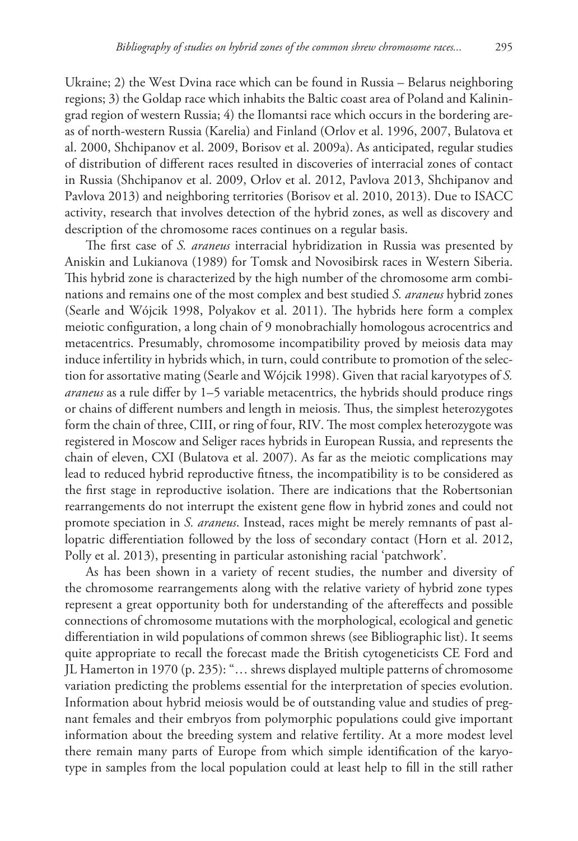Ukraine; 2) the West Dvina race which can be found in Russia – Belarus neighboring regions; 3) the Goldap race which inhabits the Baltic coast area of Poland and Kaliningrad region of western Russia; 4) the Ilomantsi race which occurs in the bordering areas of north-western Russia (Karelia) and Finland (Orlov et al. 1996, 2007, Bulatova et al. 2000, Shchipanov et al. 2009, Borisov et al. 2009a). As anticipated, regular studies of distribution of different races resulted in discoveries of interracial zones of contact in Russia (Shchipanov et al. 2009, Orlov et al. 2012, Pavlova 2013, Shchipanov and Pavlova 2013) and neighboring territories (Borisov et al. 2010, 2013). Due to ISACC activity, research that involves detection of the hybrid zones, as well as discovery and description of the chromosome races continues on a regular basis.

The first case of *S. araneus* interracial hybridization in Russia was presented by Aniskin and Lukianova (1989) for Tomsk and Novosibirsk races in Western Siberia. This hybrid zone is characterized by the high number of the chromosome arm combinations and remains one of the most complex and best studied *S. araneus* hybrid zones (Searle and Wójcik 1998, Polyakov et al. 2011). The hybrids here form a complex meiotic configuration, a long chain of 9 monobrachially homologous acrocentrics and metacentrics. Presumably, chromosome incompatibility proved by meiosis data may induce infertility in hybrids which, in turn, could contribute to promotion of the selection for assortative mating (Searle and Wójcik 1998). Given that racial karyotypes of *S. araneus* as a rule differ by 1–5 variable metacentrics, the hybrids should produce rings or chains of different numbers and length in meiosis. Thus, the simplest heterozygotes form the chain of three, CIII, or ring of four, RIV. The most complex heterozygote was registered in Moscow and Seliger races hybrids in European Russia, and represents the chain of eleven, CXI (Bulatova et al. 2007). As far as the meiotic complications may lead to reduced hybrid reproductive fitness, the incompatibility is to be considered as the first stage in reproductive isolation. There are indications that the Robertsonian rearrangements do not interrupt the existent gene flow in hybrid zones and could not promote speciation in *S. araneus*. Instead, races might be merely remnants of past allopatric differentiation followed by the loss of secondary contact (Horn et al. 2012, Polly et al. 2013), presenting in particular astonishing racial 'patchwork'.

As has been shown in a variety of recent studies, the number and diversity of the chromosome rearrangements along with the relative variety of hybrid zone types represent a great opportunity both for understanding of the aftereffects and possible connections of chromosome mutations with the morphological, ecological and genetic differentiation in wild populations of common shrews (see Bibliographic list). It seems quite appropriate to recall the forecast made the British cytogeneticists CE Ford and JL Hamerton in 1970 (p. 235): "… shrews displayed multiple patterns of chromosome variation predicting the problems essential for the interpretation of species evolution. Information about hybrid meiosis would be of outstanding value and studies of pregnant females and their embryos from polymorphic populations could give important information about the breeding system and relative fertility. At a more modest level there remain many parts of Europe from which simple identification of the karyotype in samples from the local population could at least help to fill in the still rather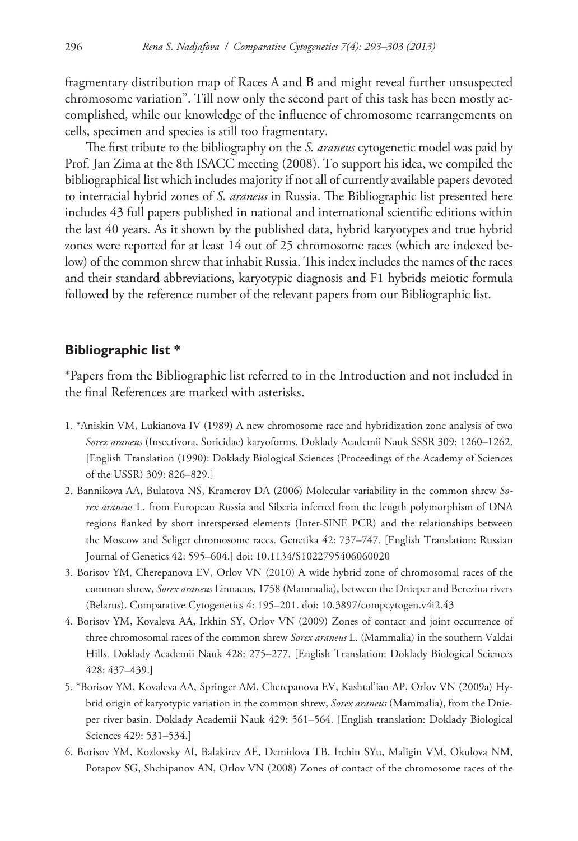fragmentary distribution map of Races A and B and might reveal further unsuspected chromosome variation". Till now only the second part of this task has been mostly accomplished, while our knowledge of the influence of chromosome rearrangements on cells, specimen and species is still too fragmentary.

The first tribute to the bibliography on the *S. araneus* cytogenetic model was paid by Prof. Jan Zima at the 8th ISACC meeting (2008). To support his idea, we compiled the bibliographical list which includes majority if not all of currently available papers devoted to interracial hybrid zones of *S. araneus* in Russia. The Bibliographic list presented here includes 43 full papers published in national and international scientific editions within the last 40 years. As it shown by the published data, hybrid karyotypes and true hybrid zones were reported for at least 14 out of 25 chromosome races (which are indexed below) of the common shrew that inhabit Russia. This index includes the names of the races and their standard abbreviations, karyotypic diagnosis and F1 hybrids meiotic formula followed by the reference number of the relevant papers from our Bibliographic list.

### **Bibliographic list \***

\*Papers from the Bibliographic list referred to in the Introduction and not included in the final References are marked with asterisks.

- 1. \*Aniskin VM, Lukianova IV (1989) A new chromosome race and hybridization zone analysis of two *Sorex araneus* (Insectivora, Soricidae) karyoforms. Doklady Academii Nauk SSSR 309: 1260–1262. [English Translation (1990): Doklady Biological Sciences (Proceedings of the Academy of Sciences of the USSR) 309: 826–829.]
- 2. Bannikova AA, Bulatova NS, Kramerov DA (2006) Molecular variability in the common shrew *Sorex araneus* L. from European Russia and Siberia inferred from the length polymorphism of DNA regions flanked by short interspersed elements (Inter-SINE PCR) and the relationships between the Moscow and Seliger chromosome races. Genetika 42: 737–747. [English Translation: Russian Journal of Genetics 42: 595–604.] [doi: 10.1134/S1022795406060020](http://dx.doi.org/10.1134/S1022795406060020)
- 3. Borisov YM, Cherepanova EV, Orlov VN (2010) A wide hybrid zone of chromosomal races of the common shrew, *Sorex araneus* Linnaeus, 1758 (Mammalia), between the Dnieper and Berezina rivers (Belarus). Comparative Cytogenetics 4: 195–201. [doi: 10.3897/compcytogen.v4i2.43](http://dx.doi.org/10.3897/compcytogen.v4i2.43)
- 4. Borisov YM, Kovaleva AA, Irkhin SY, Orlov VN (2009) Zones of contact and joint occurrence of three chromosomal races of the common shrew *Sorex araneus* L. (Mammalia) in the southern Valdai Hills. Doklady Academii Nauk 428: 275–277. [English Translation: Doklady Biological Sciences 428: 437–439.]
- 5. \*Borisov YM, Kovaleva AA, Springer AM, Cherepanova EV, Kashtal'ian AP, Orlov VN (2009a) Hybrid origin of karyotypic variation in the common shrew, *Sorex araneus* (Mammalia), from the Dnieper river basin. Doklady Academii Nauk 429: 561–564. [English translation: Doklady Biological Sciences 429: 531–534.]
- 6. Borisov YM, Kozlovsky AI, Balakirev AE, Demidova TB, Irchin SYu, Maligin VM, Okulova NM, Potapov SG, Shchipanov AN, Orlov VN (2008) Zones of contact of the chromosome races of the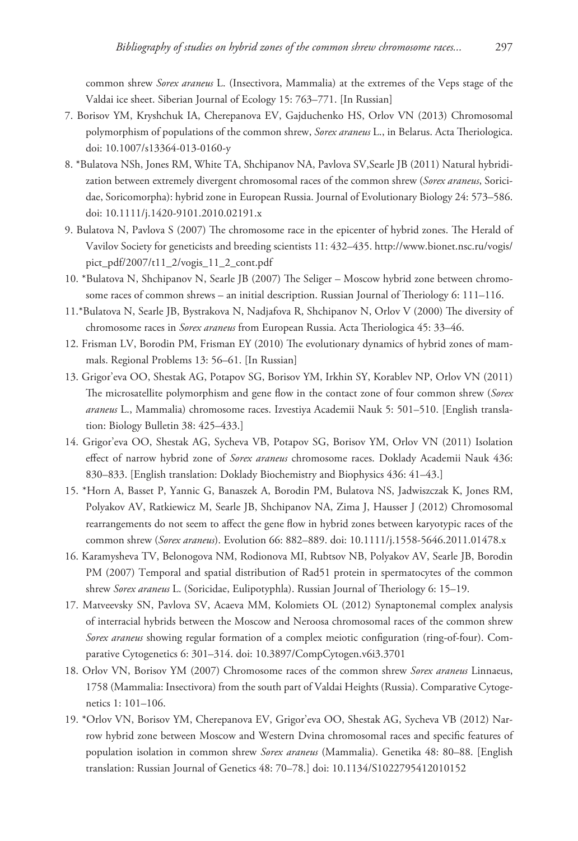common shrew *Sorex araneus* L. (Insectivora, Mammalia) at the extremes of the Veps stage of the Valdai ice sheet. Siberian Journal of Ecology 15: 763–771. [In Russian]

- 7. Borisov YM, Kryshchuk IA, Cherepanova EV, Gajduchenko HS, Orlov VN (2013) Chromosomal polymorphism of populations of the common shrew, *Sorex araneus* L., in Belarus. Acta Theriologica. [doi: 10.1007/s13364-013-0160-y](http://dx.doi.org/10.1007/s13364-013-0160-y)
- 8. \*Bulatova NSh, Jones RM, White TA, Shchipanov NA, Pavlova SV,Searle JB (2011) Natural hybridization between extremely divergent chromosomal races of the common shrew (*Sorex araneus*, Soricidae, Soricomorpha): hybrid zone in European Russia. Journal of Evolutionary Biology 24: 573–586. [doi: 10.1111/j.1420-9101.2010.02191.x](http://dx.doi.org/10.1111/j.1420-9101.2010.02191.x)
- 9. Bulatova N, Pavlova S (2007) The chromosome race in the epicenter of hybrid zones. The Herald of Vavilov Society for geneticists and breeding scientists 11: 432–435. [http://www.bionet.nsc.ru/vogis/](http://www.bionet.nsc.ru/vogis/pict_pdf/2007/t11_2/vogis_11_2_cont.pdf) [pict\\_pdf/2007/t11\\_2/vogis\\_11\\_2\\_cont.pdf](http://www.bionet.nsc.ru/vogis/pict_pdf/2007/t11_2/vogis_11_2_cont.pdf)
- 10. \*Bulatova N, Shchipanov N, Searle JB (2007) The Seliger Moscow hybrid zone between chromosome races of common shrews – an initial description. Russian Journal of Theriology 6: 111–116.
- 11.\*Bulatova N, Searle JB, Bystrakova N, Nadjafova R, Shchipanov N, Orlov V (2000) The diversity of chromosome races in *Sorex araneus* from European Russia. Acta Theriologica 45: 33–46.
- 12. Frisman LV, Borodin PM, Frisman EY (2010) The evolutionary dynamics of hybrid zones of mammals. Regional Problems 13: 56–61. [In Russian]
- 13. Grigor'eva OO, Shestak AG, Potapov SG, Borisov YM, Irkhin SY, Korablev NP, Orlov VN (2011) The microsatellite polymorphism and gene flow in the contact zone of four common shrew (*Sorex araneus* L., Mammalia) chromosome races. Izvestiya Academii Nauk 5: 501–510. [English translation: Biology Bulletin 38: 425–433.]
- 14. Grigor'eva OO, Shestak AG, Sycheva VB, Potapov SG, Borisov YM, Orlov VN (2011) Isolation effect of narrow hybrid zone of *Sorex araneus* chromosome races. Doklady Academii Nauk 436: 830–833. [English translation: Doklady Biochemistry and Biophysics 436: 41–43.]
- 15. \*Horn A, Basset P, Yannic G, Banaszek A, Borodin PM, Bulatova NS, Jadwiszczak K, Jones RM, Polyakov AV, Ratkiewicz M, Searle JB, Shchipanov NA, Zima J, Hausser J (2012) Chromosomal rearrangements do not seem to affect the gene flow in hybrid zones between karyotypic races of the common shrew (*Sorex araneus*). Evolution 66: 882–889. [doi: 10.1111/j.1558-5646.2011.01478.x](http://dx.doi.org/10.1111/j.1558-5646.2011.01478.x)
- 16. Karamysheva TV, Belonogova NM, Rodionova MI, Rubtsov NB, Polyakov AV, Searle JB, Borodin PM (2007) Temporal and spatial distribution of Rad51 protein in spermatocytes of the common shrew *Sorex araneus* L. (Soricidae, Eulipotyphla). Russian Journal of Theriology 6: 15–19.
- 17. Matveevsky SN, Pavlova SV, Acaeva MM, Kolomiets OL (2012) Synaptonemal complex analysis of interracial hybrids between the Moscow and Neroosa chromosomal races of the common shrew *Sorex araneus* showing regular formation of a complex meiotic configuration (ring-of-four). Comparative Cytogenetics 6: 301–314. [doi: 10.3897/CompCytogen.v6i3.3701](http://dx.doi.org/10.3897/CompCytogen.v6i3.3701)
- 18. Orlov VN, Borisov YM (2007) Chromosome races of the common shrew *Sorex araneus* Linnaeus, 1758 (Mammalia: Insectivora) from the south part of Valdai Heights (Russia). Comparative Cytogenetics 1: 101–106.
- 19. \*Orlov VN, Borisov YM, Cherepanova EV, Grigor'eva OO, Shestak AG, Sycheva VB (2012) Narrow hybrid zone between Moscow and Western Dvina chromosomal races and specific features of population isolation in common shrew *Sorex araneus* (Mammalia). Genetika 48: 80–88. [English translation: Russian Journal of Genetics 48: 70–78.] [doi: 10.1134/S1022795412010152](http://dx.doi.org/10.1134/S1022795412010152)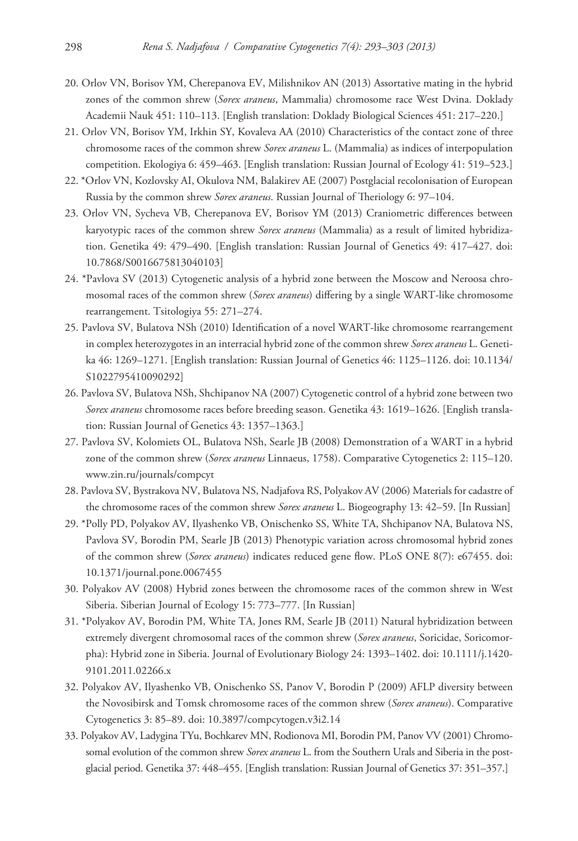- 20. Orlov VN, Borisov YM, Cherepanova EV, Milishnikov AN (2013) Assortative mating in the hybrid zones of the common shrew (*Sorex araneus*, Mammalia) chromosome race West Dvina. Doklady Academii Nauk 451: 110–113. [English translation: Doklady Biological Sciences 451: 217–220.]
- 21. Orlov VN, Borisov YM, Irkhin SY, Kovaleva AA (2010) Characteristics of the contact zone of three chromosome races of the common shrew *Sorex araneus* L. (Mammalia) as indices of interpopulation competition. Ekologiya 6: 459–463. [English translation: Russian Journal of Ecology 41: 519–523.]
- 22. \*Orlov VN, Kozlovsky AI, Okulova NM, Balakirev AE (2007) Postglacial recolonisation of European Russia by the common shrew *Sorex araneus*. Russian Journal of Theriology 6: 97–104.
- 23. Orlov VN, Sycheva VB, Cherepanova EV, Borisov YM (2013) Craniometric differences between karyotypic races of the common shrew *Sorex araneus* (Mammalia) as a result of limited hybridization. Genetika 49: 479–490. [English translation: Russian Journal of Genetics 49: 417–427. [doi:](http://dx.doi.org/10.7868/S0016675813040103) [10.7868/S0016675813040103](http://dx.doi.org/10.7868/S0016675813040103)]
- 24. \*Pavlova SV (2013) Cytogenetic analysis of a hybrid zone between the Moscow and Neroosa chromosomal races of the common shrew (*Sorex araneus*) differing by a single WART-like chromosome rearrangement. Tsitologiya 55: 271–274.
- 25. Pavlova SV, Bulatova NSh (2010) Identification of a novel WART-like chromosome rearrangement in complex heterozygotes in an interracial hybrid zone of the common shrew *Sorex araneus* L. Genetika 46: 1269–1271. [English translation: Russian Journal of Genetics 46: 1125–1126. [doi: 10.1134/](http://dx.doi.org/10.1134/S1022795410090292) [S1022795410090292\]](http://dx.doi.org/10.1134/S1022795410090292)
- 26. Pavlova SV, Bulatova NSh, Shchipanov NA (2007) Cytogenetic control of a hybrid zone between two *Sorex araneus* chromosome races before breeding season. Genetika 43: 1619–1626. [English translation: Russian Journal of Genetics 43: 1357–1363.]
- 27. Pavlova SV, Kolomiets OL, Bulatova NSh, Searle JB (2008) Demonstration of a WART in a hybrid zone of the common shrew (*Sorex araneus* Linnaeus, 1758). Comparative Cytogenetics 2: 115–120. <www.zin.ru/journals/compcyt>
- 28. Pavlova SV, Bystrakova NV, Bulatova NS, Nadjafova RS, Polyakov AV (2006) Materials for cadastre of the chromosome races of the common shrew *Sorex araneus* L. Biogeography 13: 42–59. [In Russian]
- 29. \*Polly PD, Polyakov AV, Ilyashenko VB, Onischenko SS, White TA, Shchipanov NA, Bulatova NS, Pavlova SV, Borodin PM, Searle JB (2013) Phenotypic variation across chromosomal hybrid zones of the common shrew (*Sorex araneus*) indicates reduced gene flow. PLoS ONE 8(7): e67455. [doi:](http://dx.doi.org/10.1371/journal.pone.0067455) [10.1371/journal.pone.0067455](http://dx.doi.org/10.1371/journal.pone.0067455)
- 30. Polyakov AV (2008) Hybrid zones between the chromosome races of the common shrew in West Siberia. Siberian Journal of Ecology 15: 773–777. [In Russian]
- 31. \*Polyakov AV, Borodin PM, White TA, Jones RM, Searle JB (2011) Natural hybridization between extremely divergent chromosomal races of the common shrew (*Sorex araneus*, Soricidae, Soricomorpha): Hybrid zone in Siberia. Journal of Evolutionary Biology 24: 1393–1402. [doi: 10.1111/j.1420-](http://dx.doi.org/10.1111/j.1420-9101.2011.02266.x) [9101.2011.02266.x](http://dx.doi.org/10.1111/j.1420-9101.2011.02266.x)
- 32. Polyakov AV, Ilyashenko VB, Onischenko SS, Panov V, Borodin P (2009) AFLP diversity between the Novosibirsk and Tomsk chromosome races of the common shrew (*Sorex araneus*). Comparative Cytogenetics 3: 85–89. [doi: 10.3897/compcytogen.v3i2.14](http://dx.doi.org/10.3897/compcytogen.v3i2.14)
- 33. Polyakov AV, Ladygina TYu, Bochkarev MN, Rodionova MI, Borodin PM, Panov VV (2001) Chromosomal evolution of the common shrew *Sorex araneus* L. from the Southern Urals and Siberia in the postglacial period. Genetika 37: 448–455. [English translation: Russian Journal of Genetics 37: 351–357.]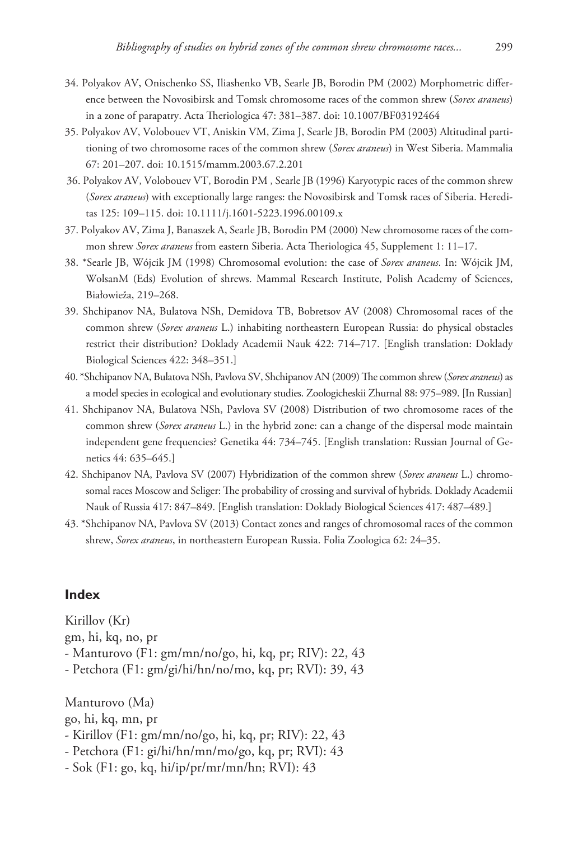- 34. Polyakov AV, Onischenko SS, Iliashenko VB, Searle JB, Borodin PM (2002) Morphometric difference between the Novosibirsk and Tomsk chromosome races of the common shrew (*Sorex araneus*) in a zone of parapatry. Acta Theriologica 47: 381–387. [doi: 10.1007/BF03192464](http://dx.doi.org/10.1007/BF03192464)
- 35. Polyakov AV, Volobouev VT, Aniskin VM, Zima J, Searle JB, Borodin PM (2003) Altitudinal partitioning of two chromosome races of the common shrew (*Sorex araneus*) in West Siberia. Mammalia 67: 201–207. [doi: 10.1515/mamm.2003.67.2.201](http://dx.doi.org/10.1515/mamm.2003.67.2.201)
- 36. Polyakov AV, Volobouev VT, Borodin PM , Searle JB (1996) Karyotypic races of the common shrew (*Sorex araneus*) with exceptionally large ranges: the Novosibirsk and Tomsk races of Siberia. Hereditas 125: 109–115. [doi: 10.1111/j.1601-5223.1996.00109.x](http://dx.doi.org/10.1111/j.1601-5223.1996.00109.x)
- 37. Polyakov AV, Zima J, Banaszek A, Searle JB, Borodin PM (2000) New chromosome races of the common shrew *Sorex araneus* from eastern Siberia. Acta Theriologica 45, Supplement 1: 11–17.
- 38. \*Searle JB, Wójcik JM (1998) Chromosomal evolution: the case of *Sorex araneus*. In: Wójcik JM, WolsanM (Eds) Evolution of shrews. Mammal Research Institute, Polish Academy of Sciences, Białowieža, 219–268.
- 39. Shchipanov NA, Bulatova NSh, Demidova TB, Bobretsov AV (2008) Chromosomal races of the common shrew (*Sorex araneus* L.) inhabiting northeastern European Russia: do physical obstacles restrict their distribution? Doklady Academii Nauk 422: 714–717. [English translation: Doklady Biological Sciences 422: 348–351.]
- 40. \*Shchipanov NA, Bulatova NSh, Pavlova SV, Shchipanov AN (2009) The common shrew (*Sorex araneus*) as a model species in ecological and evolutionary studies. Zoologicheskii Zhurnal 88: 975–989. [In Russian]
- 41. Shchipanov NA, Bulatova NSh, Pavlova SV (2008) Distribution of two chromosome races of the common shrew (*Sorex araneus* L.) in the hybrid zone: can a change of the dispersal mode maintain independent gene frequencies? Genetika 44: 734–745. [English translation: Russian Journal of Genetics 44: 635–645.]
- 42. Shchipanov NA, Pavlova SV (2007) Hybridization of the common shrew (*Sorex araneus* L.) chromosomal races Moscow and Seliger: The probability of crossing and survival of hybrids. Doklady Academii Nauk of Russia 417: 847–849. [English translation: Doklady Biological Sciences 417: 487–489.]
- 43. \*Shchipanov NA, Pavlova SV (2013) Contact zones and ranges of chromosomal races of the common shrew, *Sorex araneus*, in northeastern European Russia. Folia Zoologica 62: 24–35.

### **Index**

Kirillov (Kr) gm, hi, kq, no, pr - Manturovo (F1: gm/mn/no/go, hi, kq, pr; RIV): 22, 43 - Petchora (F1: gm/gi/hi/hn/no/mo, kq, pr; RVI): 39, 43

Manturovo (Ma) go, hi, kq, mn, pr - Kirillov (F1: gm/mn/no/go, hi, kq, pr; RIV): 22, 43 - Petchora (F1: gi/hi/hn/mn/mo/go, kq, pr; RVI): 43 - Sok (F1: go, kq, hi/ip/pr/mr/mn/hn; RVI): 43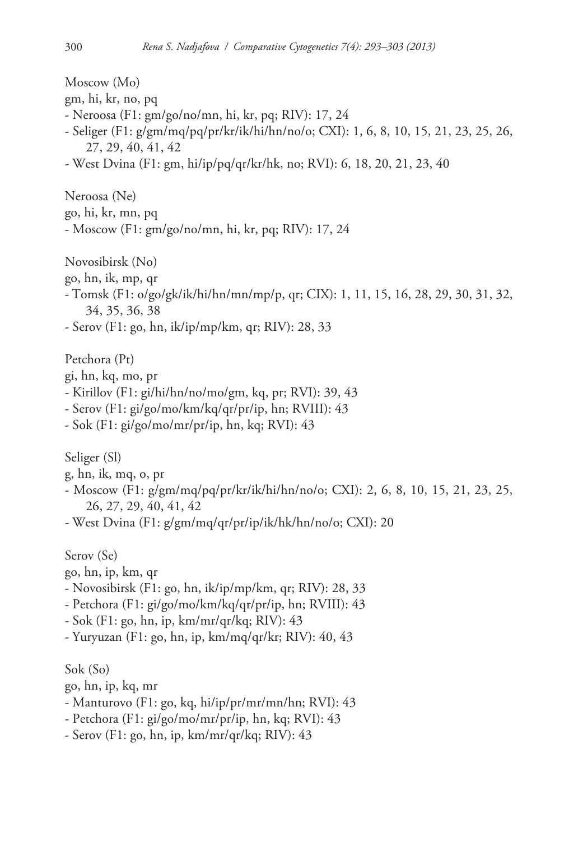Moscow (Mo) gm, hi, kr, no, pq - Neroosa (F1: gm/go/no/mn, hi, kr, pq; RIV): 17, 24 - Seliger (F1: g/gm/mq/pq/pr/kr/ik/hi/hn/no/o; CXI): 1, 6, 8, 10, 15, 21, 23, 25, 26, 27, 29, 40, 41, 42 - West Dvina (F1: gm, hi/ip/pq/qr/kr/hk, no; RVI): 6, 18, 20, 21, 23, 40 Neroosa (Ne) go, hi, kr, mn, pq - Moscow (F1: gm/go/no/mn, hi, kr, pq; RIV): 17, 24 Novosibirsk (No) go, hn, ik, mp, qr - Tomsk (F1: o/go/gk/ik/hi/hn/mn/mp/p, qr; CIX): 1, 11, 15, 16, 28, 29, 30, 31, 32, 34, 35, 36, 38 - Serov (F1: go, hn, ik/ip/mp/km, qr; RIV): 28, 33 Petchora (Pt) gi, hn, kq, mo, pr - Kirillov (F1: gi/hi/hn/no/mo/gm, kq, pr; RVI): 39, 43 - Serov (F1: gi/go/mo/km/kq/qr/pr/ip, hn; RVIII): 43 - Sok (F1: gi/go/mo/mr/pr/ip, hn, kq; RVI): 43 Seliger (Sl) g, hn, ik, mq, o, pr - Moscow (F1: g/gm/mq/pq/pr/kr/ik/hi/hn/no/o; CXI): 2, 6, 8, 10, 15, 21, 23, 25, 26, 27, 29, 40, 41, 42 - West Dvina (F1: g/gm/mq/qr/pr/ip/ik/hk/hn/no/o; CXI): 20 Serov (Se) go, hn, ip, km, qr - Novosibirsk (F1: go, hn, ik/ip/mp/km, qr; RIV): 28, 33 - Petchora (F1: gi/go/mo/km/kq/qr/pr/ip, hn; RVIII): 43 - Sok (F1: go, hn, ip, km/mr/qr/kq; RIV): 43 - Yuryuzan (F1: go, hn, ip, km/mq/qr/kr; RIV): 40, 43 Sok (So) go, hn, ip, kq, mr - Manturovo (F1: go, kq, hi/ip/pr/mr/mn/hn; RVI): 43 - Petchora (F1: gi/go/mo/mr/pr/ip, hn, kq; RVI): 43

- Serov (F1: go, hn, ip, km/mr/qr/kq; RIV): 43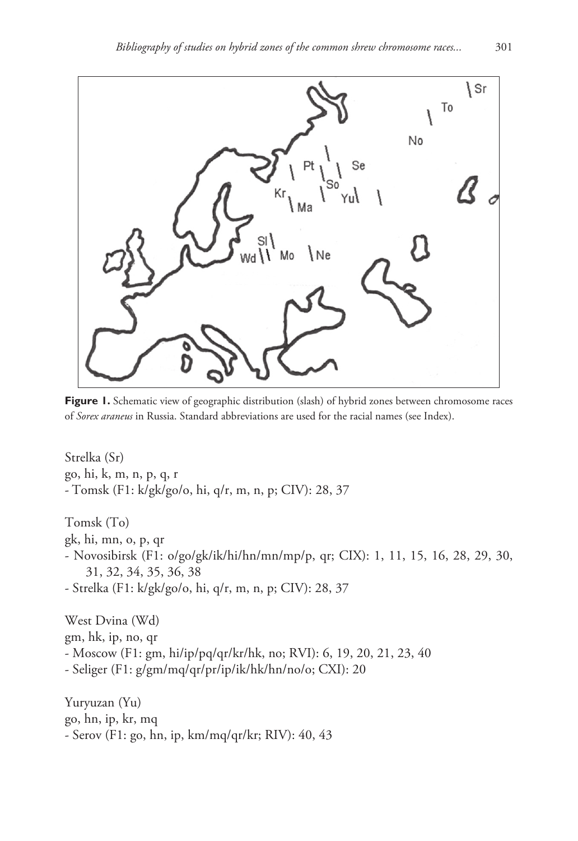

**Figure 1.** Schematic view of geographic distribution (slash) of hybrid zones between chromosome races of *Sorex araneus* in Russia. Standard abbreviations are used for the racial names (see Index).

Strelka (Sr) go, hi, k, m, n, p, q, r - Tomsk (F1: k/gk/go/o, hi, q/r, m, n, p; CIV): 28, 37 Tomsk (To) gk, hi, mn, o, p, qr - Novosibirsk (F1: o/go/gk/ik/hi/hn/mn/mp/p, qr; CIX): 1, 11, 15, 16, 28, 29, 30, 31, 32, 34, 35, 36, 38 - Strelka (F1: k/gk/go/o, hi, q/r, m, n, p; CIV): 28, 37 West Dvina (Wd) gm, hk, ip, no, qr - Moscow (F1: gm, hi/ip/pq/qr/kr/hk, no; RVI): 6, 19, 20, 21, 23, 40 - Seliger (F1: g/gm/mq/qr/pr/ip/ik/hk/hn/no/o; CXI): 20

Yuryuzan (Yu) go, hn, ip, kr, mq - Serov (F1: go, hn, ip, km/mq/qr/kr; RIV): 40, 43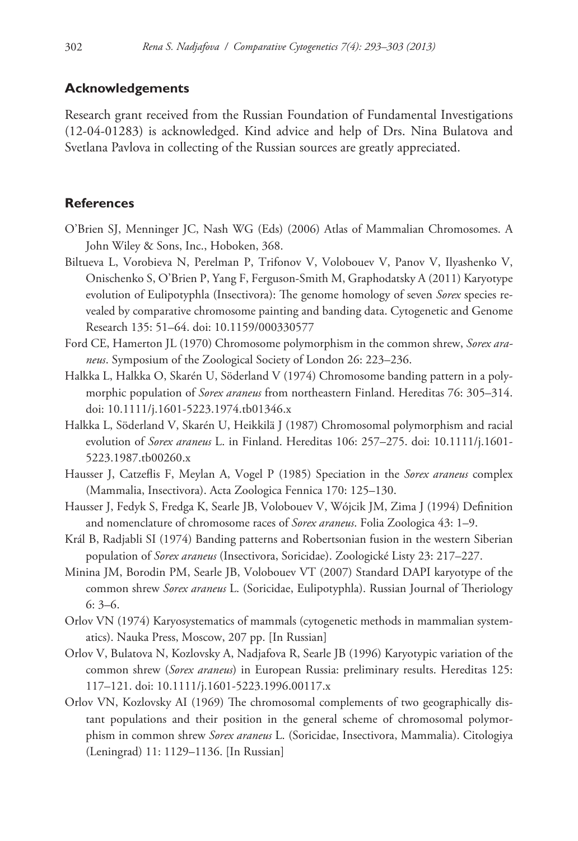## **Acknowledgements**

Research grant received from the Russian Foundation of Fundamental Investigations (12-04-01283) is acknowledged. Kind advice and help of Drs. Nina Bulatova and Svetlana Pavlova in collecting of the Russian sources are greatly appreciated.

## **References**

- O'Brien SJ, Menninger JC, Nash WG (Eds) (2006) Atlas of Mammalian Chromosomes. A John Wiley & Sons, Inc., Hoboken, 368.
- Biltueva L, Vorobieva N, Perelman P, Trifonov V, Volobouev V, Panov V, Ilyashenko V, Onischenko S, O'Brien P, Yang F, Ferguson-Smith M, Graphodatsky A (2011) Karyotype evolution of Eulipotyphla (Insectivora): The genome homology of seven *Sorex* species revealed by comparative chromosome painting and banding data. Cytogenetic and Genome Research 135: 51–64. [doi: 10.1159/000330577](http://dx.doi.org/10.1159/000330577)
- Ford CE, Hamerton JL (1970) Chromosome polymorphism in the common shrew, *Sorex araneus*. Symposium of the Zoological Society of London 26: 223–236.
- Halkka L, Halkka O, Skarén U, Söderland V (1974) Chromosome banding pattern in a polymorphic population of *Sorex araneus* from northeastern Finland. Hereditas 76: 305–314. [doi: 10.1111/j.1601-5223.1974.tb01346.x](http://dx.doi.org/10.1111/j.1601-5223.1974.tb01346.x)
- Halkka L, Söderland V, Skarén U, Heikkilä J (1987) Chromosomal polymorphism and racial evolution of *Sorex araneus* L. in Finland. Hereditas 106: 257–275. [doi: 10.1111/j.1601-](http://dx.doi.org/10.1111/j.1601-5223.1987.tb00260.x) [5223.1987.tb00260.x](http://dx.doi.org/10.1111/j.1601-5223.1987.tb00260.x)
- Hausser J, Catzeflis F, Meylan A, Vogel P (1985) Speciation in the *Sorex araneus* complex (Mammalia, Insectivora). Acta Zoologica Fennica 170: 125–130.
- Hausser J, Fedyk S, Fredga K, Searle JB, Volobouev V, Wójcik JM, Zima J (1994) Definition and nomenclature of chromosome races of *Sorex araneus*. Folia Zoologica 43: 1–9.
- Král B, Radjabli SI (1974) Banding patterns and Robertsonian fusion in the western Siberian population of *Sorex araneus* (Insectivora, Soricidae). Zoologické Listy 23: 217–227.
- Minina JM, Borodin PM, Searle JB, Volobouev VT (2007) Standard DAPI karyotype of the common shrew *Sorex araneus* L. (Soricidae, Eulipotyphla). Russian Journal of Theriology 6: 3–6.
- Orlov VN (1974) Karyosystematics of mammals (cytogenetic methods in mammalian systematics). Nauka Press, Moscow, 207 pp. [In Russian]
- Orlov V, Bulatova N, Kozlovsky A, Nadjafova R, Searle JB (1996) Karyotypic variation of the common shrew (*Sorex araneus*) in European Russia: preliminary results. Hereditas 125: 117–121. [doi: 10.1111/j.1601-5223.1996.00117.x](http://dx.doi.org/10.1111/j.1601-5223.1996.00117.x)
- Orlov VN, Kozlovsky AI (1969) The chromosomal complements of two geographically distant populations and their position in the general scheme of chromosomal polymorphism in common shrew *Sorex araneus* L. (Soricidae, Insectivora, Mammalia). Citologiya (Leningrad) 11: 1129–1136. [In Russian]